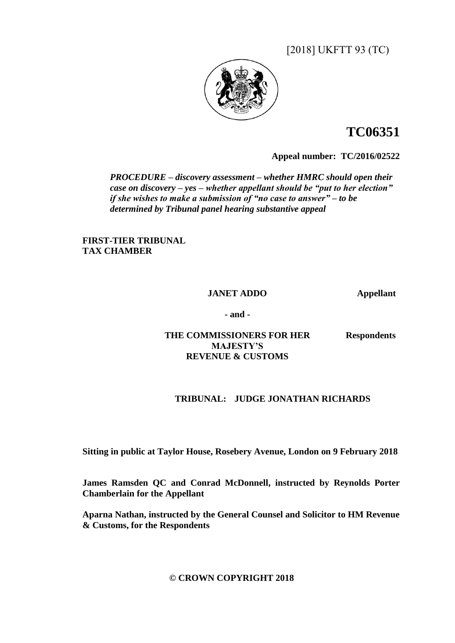[2018] UKFTT 93 (TC)



# **TC06351**

**Appeal number:TC/2016/02522**

*PROCEDURE – discovery assessment – whether HMRC should open their case on discovery – yes – whether appellant should be "put to her election" if she wishes to make a submission of "no case to answer" – to be determined by Tribunal panel hearing substantive appeal*

**FIRST-TIER TRIBUNAL TAX CHAMBER**

#### **JANET ADDO Appellant**

**- and -**

#### **THE COMMISSIONERS FOR HER MAJESTY'S REVENUE & CUSTOMS**

**Respondents**

## **TRIBUNAL: JUDGE JONATHAN RICHARDS**

**Sitting in public at Taylor House, Rosebery Avenue, London on 9 February 2018**

**James Ramsden QC and Conrad McDonnell, instructed by Reynolds Porter Chamberlain for the Appellant**

**Aparna Nathan, instructed by the General Counsel and Solicitor to HM Revenue & Customs, for the Respondents**

**© CROWN COPYRIGHT 2018**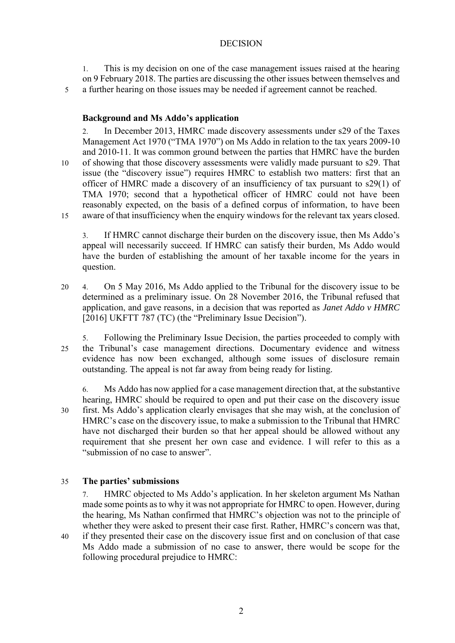#### DECISION

1. This is my decision on one of the case management issues raised at the hearing on 9 February 2018. The parties are discussing the other issues between themselves and

5 a further hearing on those issues may be needed if agreement cannot be reached.

#### **Background and Ms Addo's application**

2. In December 2013, HMRC made discovery assessments under s29 of the Taxes Management Act 1970 ("TMA 1970") on Ms Addo in relation to the tax years 2009-10 and 2010-11. It was common ground between the parties that HMRC have the burden 10 of showing that those discovery assessments were validly made pursuant to s29. That issue (the "discovery issue") requires HMRC to establish two matters: first that an officer of HMRC made a discovery of an insufficiency of tax pursuant to s29(1) of TMA 1970; second that a hypothetical officer of HMRC could not have been reasonably expected, on the basis of a defined corpus of information, to have been 15 aware of that insufficiency when the enquiry windows for the relevant tax years closed.

3. If HMRC cannot discharge their burden on the discovery issue, then Ms Addo's appeal will necessarily succeed. If HMRC can satisfy their burden, Ms Addo would have the burden of establishing the amount of her taxable income for the years in question.

- 20 4. On 5 May 2016, Ms Addo applied to the Tribunal for the discovery issue to be determined as a preliminary issue. On 28 November 2016, the Tribunal refused that application, and gave reasons, in a decision that was reported as *Janet Addo v HMRC* [2016] UKFTT 787 (TC) (the "Preliminary Issue Decision").
- 5. Following the Preliminary Issue Decision, the parties proceeded to comply with 25 the Tribunal's case management directions. Documentary evidence and witness evidence has now been exchanged, although some issues of disclosure remain outstanding. The appeal is not far away from being ready for listing.

6. Ms Addo has now applied for a case management direction that, at the substantive hearing, HMRC should be required to open and put their case on the discovery issue 30 first. Ms Addo's application clearly envisages that she may wish, at the conclusion of HMRC's case on the discovery issue, to make a submission to the Tribunal that HMRC have not discharged their burden so that her appeal should be allowed without any requirement that she present her own case and evidence. I will refer to this as a "submission of no case to answer".

## 35 **The parties' submissions**

7. HMRC objected to Ms Addo's application. In her skeleton argument Ms Nathan made some points as to why it was not appropriate for HMRC to open. However, during the hearing, Ms Nathan confirmed that HMRC's objection was not to the principle of whether they were asked to present their case first. Rather, HMRC's concern was that,

40 if they presented their case on the discovery issue first and on conclusion of that case Ms Addo made a submission of no case to answer, there would be scope for the following procedural prejudice to HMRC: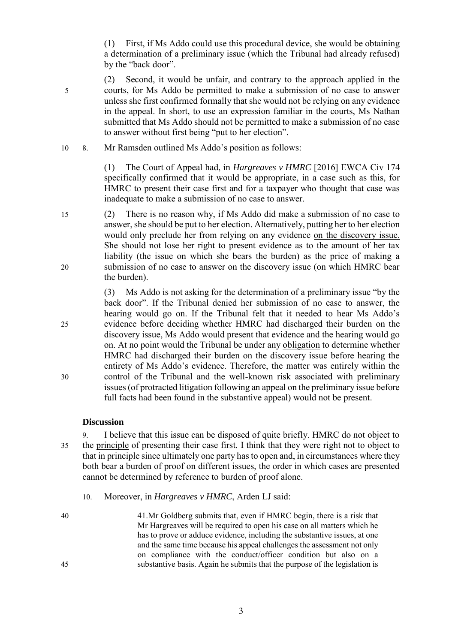(1) First, if Ms Addo could use this procedural device, she would be obtaining a determination of a preliminary issue (which the Tribunal had already refused) by the "back door".

- (2) Second, it would be unfair, and contrary to the approach applied in the 5 courts, for Ms Addo be permitted to make a submission of no case to answer unless she first confirmed formally that she would not be relying on any evidence in the appeal. In short, to use an expression familiar in the courts, Ms Nathan submitted that Ms Addo should not be permitted to make a submission of no case to answer without first being "put to her election".
- 10 8. Mr Ramsden outlined Ms Addo's position as follows:

(1) The Court of Appeal had, in *Hargreaves v HMRC* [2016] EWCA Civ 174 specifically confirmed that it would be appropriate, in a case such as this, for HMRC to present their case first and for a taxpayer who thought that case was inadequate to make a submission of no case to answer.

15 (2) There is no reason why, if Ms Addo did make a submission of no case to answer, she should be put to her election. Alternatively, putting her to her election would only preclude her from relying on any evidence on the discovery issue. She should not lose her right to present evidence as to the amount of her tax liability (the issue on which she bears the burden) as the price of making a 20 submission of no case to answer on the discovery issue (on which HMRC bear the burden).

<span id="page-2-0"></span>(3) Ms Addo is not asking for the determination of a preliminary issue "by the back door". If the Tribunal denied her submission of no case to answer, the hearing would go on. If the Tribunal felt that it needed to hear Ms Addo's 25 evidence before deciding whether HMRC had discharged their burden on the discovery issue, Ms Addo would present that evidence and the hearing would go on. At no point would the Tribunal be under any obligation to determine whether HMRC had discharged their burden on the discovery issue before hearing the entirety of Ms Addo's evidence. Therefore, the matter was entirely within the 30 control of the Tribunal and the well-known risk associated with preliminary issues (of protracted litigation following an appeal on the preliminary issue before full facts had been found in the substantive appeal) would not be present.

#### **Discussion**

9. I believe that this issue can be disposed of quite briefly. HMRC do not object to 35 the principle of presenting their case first. I think that they were right not to object to that in principle since ultimately one party has to open and, in circumstances where they both bear a burden of proof on different issues, the order in which cases are presented cannot be determined by reference to burden of proof alone.

- 10. Moreover, in *Hargreaves v HMRC*, Arden LJ said:
- 40 41.Mr Goldberg submits that, even if HMRC begin, there is a risk that Mr Hargreaves will be required to open his case on all matters which he has to prove or adduce evidence, including the substantive issues, at one and the same time because his appeal challenges the assessment not only on compliance with the conduct/officer condition but also on a 45 substantive basis. Again he submits that the purpose of the legislation is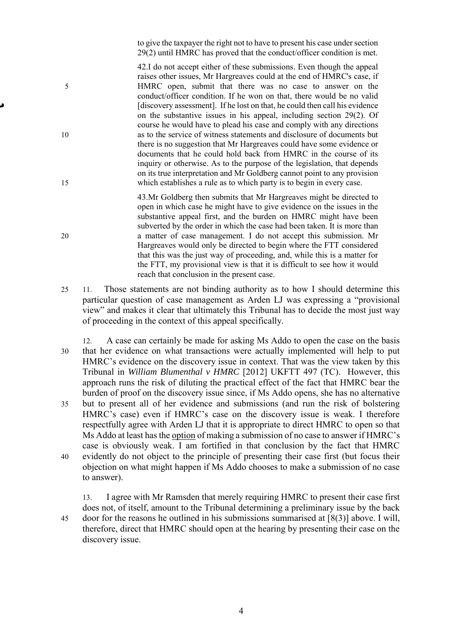to give the taxpayer the right not to have to present his case under section 29(2) until HMRC has proved that the conduct/officer condition is met.

42.I do not accept either of these submissions. Even though the appeal raises other issues, Mr Hargreaves could at the end of HMRC's case, if 5 HMRC open, submit that there was no case to answer on the conduct/officer condition. If he won on that, there would be no valid [discovery assessment]. If he lost on that, he could then call his evidence on the substantive issues in his appeal, including section 29(2). Of course he would have to plead his case and comply with any directions 10 as to the service of witness statements and disclosure of documents but there is no suggestion that Mr Hargreaves could have some evidence or documents that he could hold back from HMRC in the course of its inquiry or otherwise. As to the purpose of the legislation, that depends on its true interpretation and Mr Goldberg cannot point to any provision 15 which establishes a rule as to which party is to begin in every case.

43.Mr Goldberg then submits that Mr Hargreaves might be directed to open in which case he might have to give evidence on the issues in the substantive appeal first, and the burden on HMRC might have been subverted by the order in which the case had been taken. It is more than 20 a matter of case management. I do not accept this submission. Mr Hargreaves would only be directed to begin where the FTT considered that this was the just way of proceeding, and, while this is a matter for the FTT, my provisional view is that it is difficult to see how it would reach that conclusion in the present case.

- 25 11. Those statements are not binding authority as to how I should determine this particular question of case management as Arden LJ was expressing a "provisional view" and makes it clear that ultimately this Tribunal has to decide the most just way of proceeding in the context of this appeal specifically.
- A case can certainly be made for asking Ms Addo to open the case on the basis 30 that her evidence on what transactions were actually implemented will help to put HMRC's evidence on the discovery issue in context. That was the view taken by this Tribunal in *William Blumenthal v HMRC* [2012] UKFTT 497 (TC). However, this approach runs the risk of diluting the practical effect of the fact that HMRC bear the burden of proof on the discovery issue since, if Ms Addo opens, she has no alternative
- 35 but to present all of her evidence and submissions (and run the risk of bolstering HMRC's case) even if HMRC's case on the discovery issue is weak. I therefore respectfully agree with Arden LJ that it is appropriate to direct HMRC to open so that Ms Addo at least has the option of making a submission of no case to answer if HMRC's case is obviously weak. I am fortified in that conclusion by the fact that HMRC 40 evidently do not object to the principle of presenting their case first (but focus their objection on what might happen if Ms Addo chooses to make a submission of no case to answer).

13. I agree with Mr Ramsden that merely requiring HMRC to present their case first does not, of itself, amount to the Tribunal determining a preliminary issue by the back 45 door for the reasons he outlined in his submissions summarised at [\[8\(3\)\]](#page-2-0) above. I will, therefore, direct that HMRC should open at the hearing by presenting their case on the discovery issue.

4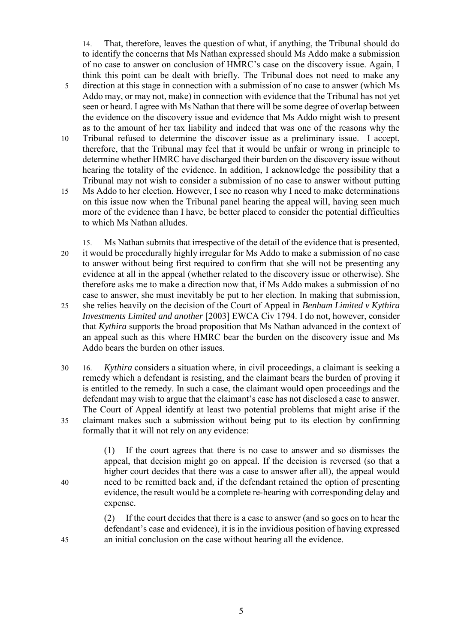14. That, therefore, leaves the question of what, if anything, the Tribunal should do to identify the concerns that Ms Nathan expressed should Ms Addo make a submission of no case to answer on conclusion of HMRC's case on the discovery issue. Again, I think this point can be dealt with briefly. The Tribunal does not need to make any

- 5 direction at this stage in connection with a submission of no case to answer (which Ms Addo may, or may not, make) in connection with evidence that the Tribunal has not yet seen or heard. I agree with Ms Nathan that there will be some degree of overlap between the evidence on the discovery issue and evidence that Ms Addo might wish to present as to the amount of her tax liability and indeed that was one of the reasons why the
- 10 Tribunal refused to determine the discover issue as a preliminary issue. I accept, therefore, that the Tribunal may feel that it would be unfair or wrong in principle to determine whether HMRC have discharged their burden on the discovery issue without hearing the totality of the evidence. In addition, I acknowledge the possibility that a Tribunal may not wish to consider a submission of no case to answer without putting
- 15 Ms Addo to her election. However, I see no reason why I need to make determinations on this issue now when the Tribunal panel hearing the appeal will, having seen much more of the evidence than I have, be better placed to consider the potential difficulties to which Ms Nathan alludes.
- <span id="page-4-0"></span>15. Ms Nathan submits that irrespective of the detail of the evidence that is presented, 20 it would be procedurally highly irregular for Ms Addo to make a submission of no case to answer without being first required to confirm that she will not be presenting any evidence at all in the appeal (whether related to the discovery issue or otherwise). She therefore asks me to make a direction now that, if Ms Addo makes a submission of no case to answer, she must inevitably be put to her election. In making that submission,
- 25 she relies heavily on the decision of the Court of Appeal in *Benham Limited v Kythira Investments Limited and another* [2003] EWCA Civ 1794. I do not, however, consider that *Kythira* supports the broad proposition that Ms Nathan advanced in the context of an appeal such as this where HMRC bear the burden on the discovery issue and Ms Addo bears the burden on other issues.
- 30 16. *Kythira* considers a situation where, in civil proceedings, a claimant is seeking a remedy which a defendant is resisting, and the claimant bears the burden of proving it is entitled to the remedy. In such a case, the claimant would open proceedings and the defendant may wish to argue that the claimant's case has not disclosed a case to answer. The Court of Appeal identify at least two potential problems that might arise if the 35 claimant makes such a submission without being put to its election by confirming formally that it will not rely on any evidence:

(1) If the court agrees that there is no case to answer and so dismisses the appeal, that decision might go on appeal. If the decision is reversed (so that a higher court decides that there was a case to answer after all), the appeal would 40 need to be remitted back and, if the defendant retained the option of presenting evidence, the result would be a complete re-hearing with corresponding delay and expense.

(2) If the court decides that there is a case to answer (and so goes on to hear the defendant's case and evidence), it is in the invidious position of having expressed 45 an initial conclusion on the case without hearing all the evidence.

5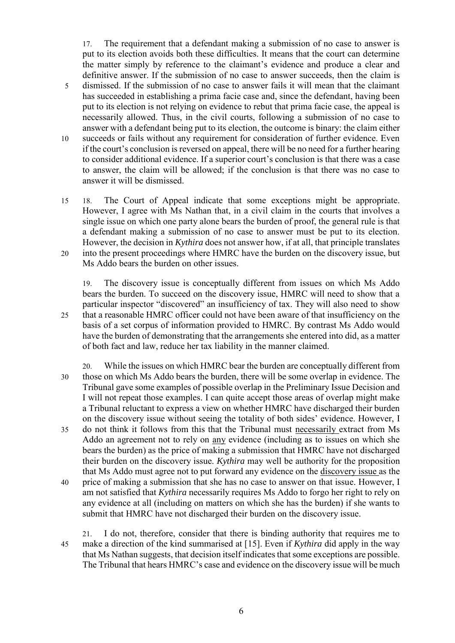17. The requirement that a defendant making a submission of no case to answer is put to its election avoids both these difficulties. It means that the court can determine the matter simply by reference to the claimant's evidence and produce a clear and definitive answer. If the submission of no case to answer succeeds, then the claim is 5 dismissed. If the submission of no case to answer fails it will mean that the claimant has succeeded in establishing a prima facie case and, since the defendant, having been put to its election is not relying on evidence to rebut that prima facie case, the appeal is necessarily allowed. Thus, in the civil courts, following a submission of no case to answer with a defendant being put to its election, the outcome is binary: the claim either 10 succeeds or fails without any requirement for consideration of further evidence. Even if the court's conclusion is reversed on appeal, there will be no need for a further hearing to consider additional evidence. If a superior court's conclusion is that there was a case to answer, the claim will be allowed; if the conclusion is that there was no case to

15 18. The Court of Appeal indicate that some exceptions might be appropriate. However, I agree with Ms Nathan that, in a civil claim in the courts that involves a single issue on which one party alone bears the burden of proof, the general rule is that a defendant making a submission of no case to answer must be put to its election. However, the decision in *Kythira* does not answer how, if at all, that principle translates 20 into the present proceedings where HMRC have the burden on the discovery issue, but Ms Addo bears the burden on other issues.

answer it will be dismissed.

19. The discovery issue is conceptually different from issues on which Ms Addo bears the burden. To succeed on the discovery issue, HMRC will need to show that a particular inspector "discovered" an insufficiency of tax. They will also need to show 25 that a reasonable HMRC officer could not have been aware of that insufficiency on the basis of a set corpus of information provided to HMRC. By contrast Ms Addo would have the burden of demonstrating that the arrangements she entered into did, as a matter of both fact and law, reduce her tax liability in the manner claimed.

20. While the issues on which HMRC bear the burden are conceptually different from 30 those on which Ms Addo bears the burden, there will be some overlap in evidence. The Tribunal gave some examples of possible overlap in the Preliminary Issue Decision and I will not repeat those examples. I can quite accept those areas of overlap might make a Tribunal reluctant to express a view on whether HMRC have discharged their burden on the discovery issue without seeing the totality of both sides' evidence. However, I 35 do not think it follows from this that the Tribunal must necessarily extract from Ms Addo an agreement not to rely on any evidence (including as to issues on which she bears the burden) as the price of making a submission that HMRC have not discharged their burden on the discovery issue. *Kythira* may well be authority for the proposition that Ms Addo must agree not to put forward any evidence on the discovery issue as the 40 price of making a submission that she has no case to answer on that issue. However, I am not satisfied that *Kythira* necessarily requires Ms Addo to forgo her right to rely on any evidence at all (including on matters on which she has the burden) if she wants to submit that HMRC have not discharged their burden on the discovery issue.

21. I do not, therefore, consider that there is binding authority that requires me to 45 make a direction of the kind summarised at [\[15\]](#page-4-0). Even if *Kythira* did apply in the way that Ms Nathan suggests, that decision itself indicates that some exceptions are possible. The Tribunal that hears HMRC's case and evidence on the discovery issue will be much

6